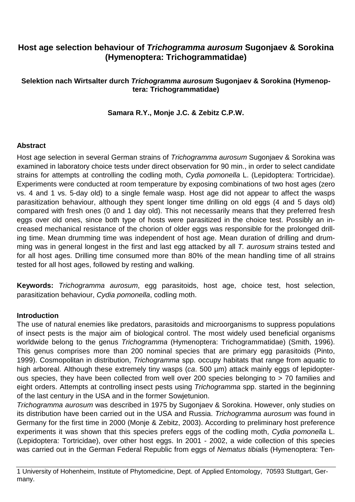# **Host age selection behaviour of Trichogramma aurosum Sugonjaev & Sorokina (Hymenoptera: Trichogrammatidae)**

# **Selektion nach Wirtsalter durch Trichogramma aurosum Sugonjaev & Sorokina (Hymenoptera: Trichogrammatidae)**

#### **Samara R.Y., Monje J.C. & Zebitz C.P.W.**

#### **Abstract**

Host age selection in several German strains of Trichogramma aurosum Sugonjaev & Sorokina was examined in laboratory choice tests under direct observation for 90 min., in order to select candidate strains for attempts at controlling the codling moth, Cydia pomonella L. (Lepidoptera: Tortricidae). Experiments were conducted at room temperature by exposing combinations of two host ages (zero vs. 4 and 1 vs. 5-day old) to a single female wasp. Host age did not appear to affect the wasps parasitization behaviour, although they spent longer time drilling on old eggs (4 and 5 days old) compared with fresh ones (0 and 1 day old). This not necessarily means that they preferred fresh eggs over old ones, since both type of hosts were parasitized in the choice test. Possibly an increased mechanical resistance of the chorion of older eggs was responsible for the prolonged drilling time. Mean drumming time was independent of host age. Mean duration of drilling and drumming was in general longest in the first and last egg attacked by all T. aurosum strains tested and for all host ages. Drilling time consumed more than 80% of the mean handling time of all strains tested for all host ages, followed by resting and walking.

**Keywords:** Trichogramma aurosum, egg parasitoids, host age, choice test, host selection, parasitization behaviour, Cydia pomonella, codling moth.

## **Introduction**

The use of natural enemies like predators, parasitoids and microorganisms to suppress populations of insect pests is the major aim of biological control. The most widely used beneficial organisms worldwide belong to the genus Trichogramma (Hymenoptera: Trichogrammatidae) (Smith, 1996). This genus comprises more than 200 nominal species that are primary egg parasitoids (Pinto, 1999). Cosmopolitan in distribution, Trichogramma spp. occupy habitats that range from aquatic to high arboreal. Although these extremely tiny wasps (ca. 500 µm) attack mainly eggs of lepidopterous species, they have been collected from well over 200 species belonging to > 70 families and eight orders. Attempts at controlling insect pests using Trichogramma spp. started in the beginning of the last century in the USA and in the former Sowjetunion.

Trichogramma aurosum was described in 1975 by Sugonjaev & Sorokina. However, only studies on its distribution have been carried out in the USA and Russia. Trichogramma aurosum was found in Germany for the first time in 2000 (Monje & Zebitz, 2003). According to preliminary host preference experiments it was shown that this species prefers eggs of the codling moth, Cydia pomonella L. (Lepidoptera: Tortricidae), over other host eggs. In 2001 - 2002, a wide collection of this species was carried out in the German Federal Republic from eggs of Nematus tibialis (Hymenoptera: Ten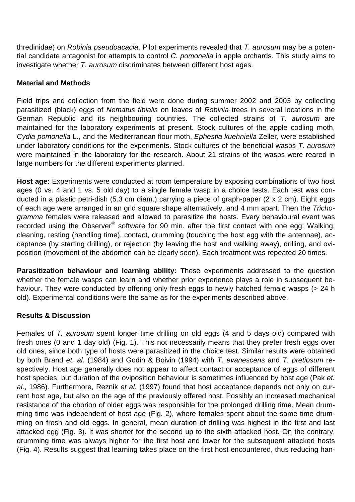thredinidae) on Robinia pseudoacacia. Pilot experiments revealed that T. aurosum may be a potential candidate antagonist for attempts to control C. pomonella in apple orchards. This study aims to investigate whether T. aurosum discriminates between different host ages.

# **Material and Methods**

Field trips and collection from the field were done during summer 2002 and 2003 by collecting parasitized (black) eggs of Nematus tibialis on leaves of Robinia trees in several locations in the German Republic and its neighbouring countries. The collected strains of T. aurosum are maintained for the laboratory experiments at present. Stock cultures of the apple codling moth, Cydia pomonella L., and the Mediterranean flour moth, Ephestia kuehniella Zeller, were established under laboratory conditions for the experiments. Stock cultures of the beneficial wasps T. aurosum were maintained in the laboratory for the research. About 21 strains of the wasps were reared in large numbers for the different experiments planned.

**Host age:** Experiments were conducted at room temperature by exposing combinations of two host ages (0 vs. 4 and 1 vs. 5 old day) to a single female wasp in a choice tests. Each test was conducted in a plastic petri-dish (5.3 cm diam.) carrying a piece of graph-paper (2 x 2 cm). Eight eggs of each age were arranged in an grid square shape alternatively, and 4 mm apart. Then the Trichogramma females were released and allowed to parasitize the hosts. Every behavioural event was recorded using the Observer® software for 90 min. after the first contact with one egg: Walking, cleaning, resting (handling time), contact, drumming (touching the host egg with the antennae), acceptance (by starting drilling), or rejection (by leaving the host and walking away), drilling, and oviposition (movement of the abdomen can be clearly seen). Each treatment was repeated 20 times.

**Parasitization behaviour and learning ability:** These experiments addressed to the question whether the female wasps can learn and whether prior experience plays a role in subsequent behaviour. They were conducted by offering only fresh eggs to newly hatched female wasps (> 24 h old). Experimental conditions were the same as for the experiments described above.

## **Results & Discussion**

Females of T. aurosum spent longer time drilling on old eggs (4 and 5 days old) compared with fresh ones (0 and 1 day old) (Fig. 1). This not necessarily means that they prefer fresh eggs over old ones, since both type of hosts were parasitized in the choice test. Similar results were obtained by both Brand et. al. (1984) and Godin & Boivin (1994) with T. evanescens and T. pretiosum respectively. Host age generally does not appear to affect contact or acceptance of eggs of different host species, but duration of the oviposition behaviour is sometimes influenced by host age (Pak et. al., 1986). Furthermore, Reznik et al. (1997) found that host acceptance depends not only on current host age, but also on the age of the previously offered host. Possibly an increased mechanical resistance of the chorion of older eggs was responsible for the prolonged drilling time. Mean drumming time was independent of host age (Fig. 2), where females spent about the same time drumming on fresh and old eggs. In general, mean duration of drilling was highest in the first and last attacked egg (Fig. 3). It was shorter for the second up to the sixth attacked host. On the contrary, drumming time was always higher for the first host and lower for the subsequent attacked hosts (Fig. 4). Results suggest that learning takes place on the first host encountered, thus reducing han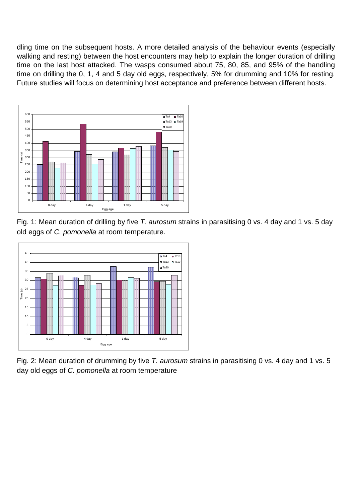dling time on the subsequent hosts. A more detailed analysis of the behaviour events (especially walking and resting) between the host encounters may help to explain the longer duration of drilling time on the last host attacked. The wasps consumed about 75, 80, 85, and 95% of the handling time on drilling the 0, 1, 4 and 5 day old eggs, respectively, 5% for drumming and 10% for resting. Future studies will focus on determining host acceptance and preference between different hosts.



Fig. 1: Mean duration of drilling by five T. aurosum strains in parasitising 0 vs. 4 day and 1 vs. 5 day old eggs of C. pomonella at room temperature.



Fig. 2: Mean duration of drumming by five T. aurosum strains in parasitising 0 vs. 4 day and 1 vs. 5 day old eggs of C. pomonella at room temperature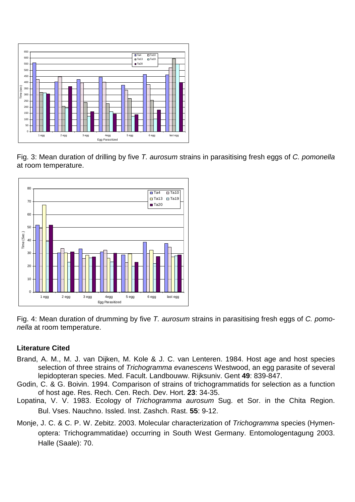

Fig. 3: Mean duration of drilling by five T. aurosum strains in parasitising fresh eggs of C. pomonella at room temperature.



Fig. 4: Mean duration of drumming by five T. aurosum strains in parasitising fresh eggs of C. pomonella at room temperature.

## **Literature Cited**

- Brand, A. M., M. J. van Dijken, M. Kole & J. C. van Lenteren. 1984. Host age and host species selection of three strains of Trichogramma evanescens Westwood, an egg parasite of several lepidopteran species. Med. Facult. Landbouww. Rijksuniv. Gent **49**: 839-847.
- Godin, C. & G. Boivin. 1994. Comparison of strains of trichogrammatids for selection as a function of host age. Res. Rech. Cen. Rech. Dev. Hort. **23**: 34-35.
- Lopatina, V. V. 1983. Ecology of Trichogramma aurosum Sug. et Sor. in the Chita Region. Bul. Vses. Nauchno. Issled. Inst. Zashch. Rast. **55**: 9-12.
- Monje, J. C. & C. P. W. Zebitz. 2003. Molecular characterization of *Trichogramma* species (Hymenoptera: Trichogrammatidae) occurring in South West Germany. Entomologentagung 2003. Halle (Saale): 70.